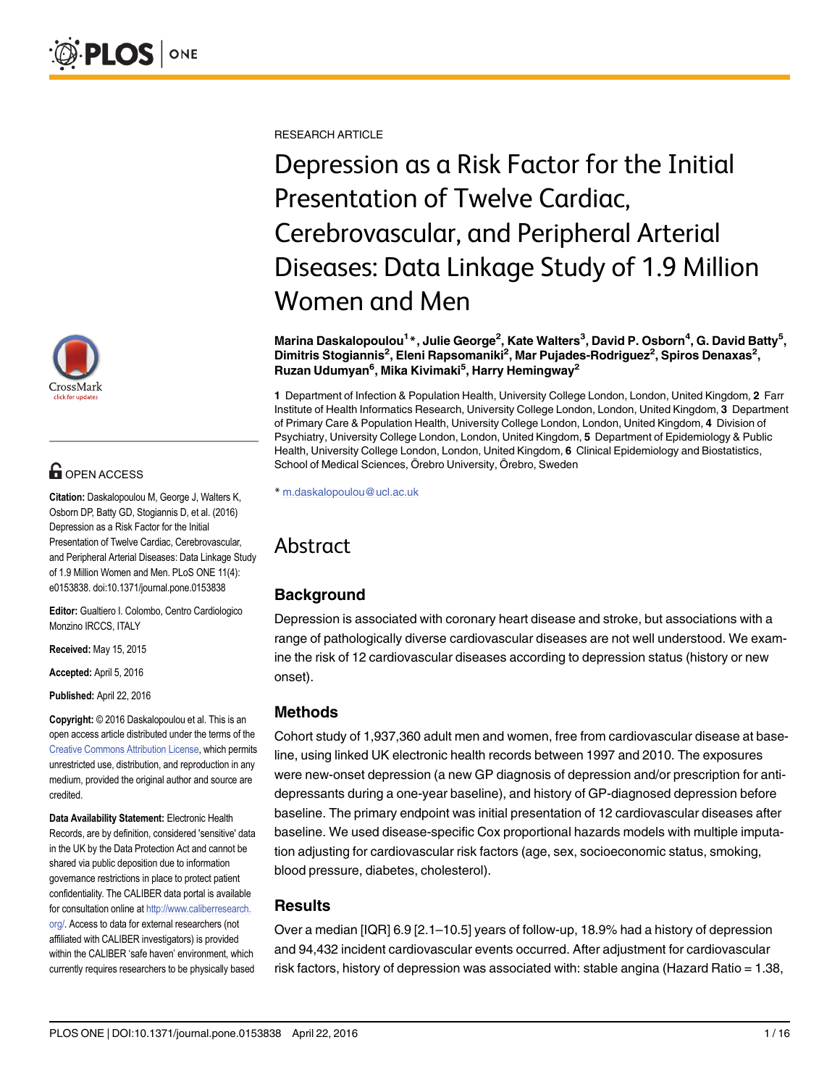

## **OPEN ACCESS**

Citation: Daskalopoulou M, George J, Walters K, Osborn DP, Batty GD, Stogiannis D, et al. (2016) Depression as a Risk Factor for the Initial Presentation of Twelve Cardiac, Cerebrovascular, and Peripheral Arterial Diseases: Data Linkage Study of 1.9 Million Women and Men. PLoS ONE 11(4): e0153838. doi:10.1371/journal.pone.0153838

Editor: Gualtiero I. Colombo, Centro Cardiologico Monzino IRCCS, ITALY

Received: May 15, 2015

Accepted: April 5, 2016

Published: April 22, 2016

Copyright: © 2016 Daskalopoulou et al. This is an open access article distributed under the terms of the [Creative Commons Attribution License,](http://creativecommons.org/licenses/by/4.0/) which permits unrestricted use, distribution, and reproduction in any medium, provided the original author and source are credited.

Data Availability Statement: Electronic Health Records, are by definition, considered 'sensitive' data in the UK by the Data Protection Act and cannot be shared via public deposition due to information governance restrictions in place to protect patient confidentiality. The CALIBER data portal is available for consultation online at [http://www.caliberresearch.](http://www.caliberresearch.org/) [org/.](http://www.caliberresearch.org/) Access to data for external researchers (not affiliated with CALIBER investigators) is provided within the CALIBER 'safe haven' environment, which currently requires researchers to be physically based RESEARCH ARTICLE

# Depression as a Risk Factor for the Initial Presentation of Twelve Cardiac, Cerebrovascular, and Peripheral Arterial Diseases: Data Linkage Study of 1.9 Million Women and Men

#### Marina Daskalopoulou<sup>1</sup>\*, Julie George<sup>2</sup>, Kate Walters<sup>3</sup>, David P. Osborn<sup>4</sup>, G. David Batty<sup>5</sup>, Dimitris Stogiannis<sup>2</sup>, Eleni Rapsomaniki<sup>2</sup>, Mar Pujades-Rodriguez<sup>2</sup>, Spiros Denaxas<sup>2</sup>, Ruzan Udumyan<sup>6</sup>, Mika Kivimaki<sup>5</sup>, Harry Hemingway<sup>2</sup>

1 Department of Infection & Population Health, University College London, London, United Kingdom, 2 Farr Institute of Health Informatics Research, University College London, London, United Kingdom, 3 Department of Primary Care & Population Health, University College London, London, United Kingdom, 4 Division of Psychiatry, University College London, London, United Kingdom, 5 Department of Epidemiology & Public Health, University College London, London, United Kingdom, 6 Clinical Epidemiology and Biostatistics, School of Medical Sciences, Örebro University, Örebro, Sweden

\* m.daskalopoulou@ucl.ac.uk

## Abstract

## **Background**

Depression is associated with coronary heart disease and stroke, but associations with a range of pathologically diverse cardiovascular diseases are not well understood. We examine the risk of 12 cardiovascular diseases according to depression status (history or new onset).

## Methods

Cohort study of 1,937,360 adult men and women, free from cardiovascular disease at baseline, using linked UK electronic health records between 1997 and 2010. The exposures were new-onset depression (a new GP diagnosis of depression and/or prescription for antidepressants during a one-year baseline), and history of GP-diagnosed depression before baseline. The primary endpoint was initial presentation of 12 cardiovascular diseases after baseline. We used disease-specific Cox proportional hazards models with multiple imputation adjusting for cardiovascular risk factors (age, sex, socioeconomic status, smoking, blood pressure, diabetes, cholesterol).

#### **Results**

Over a median [IQR] 6.9 [2.1–10.5] years of follow-up, 18.9% had a history of depression and 94,432 incident cardiovascular events occurred. After adjustment for cardiovascular risk factors, history of depression was associated with: stable angina (Hazard Ratio = 1.38,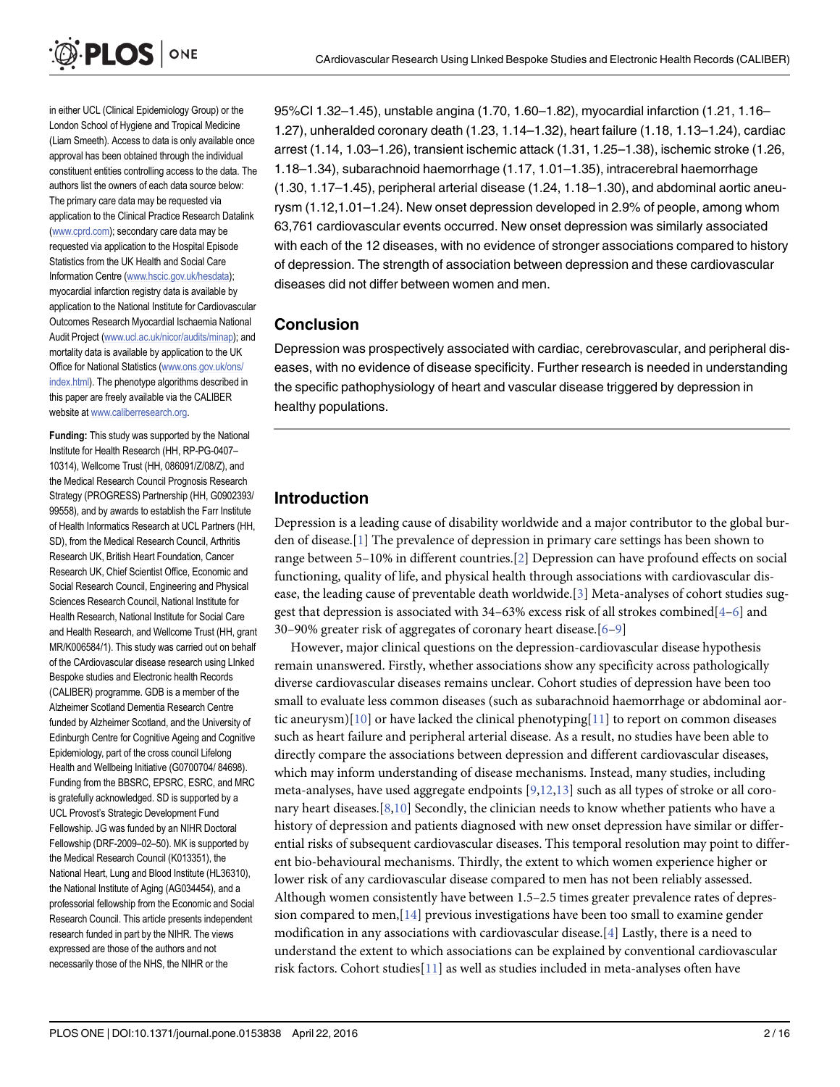<span id="page-1-0"></span>

in either UCL (Clinical Epidemiology Group) or the London School of Hygiene and Tropical Medicine (Liam Smeeth). Access to data is only available once approval has been obtained through the individual constituent entities controlling access to the data. The authors list the owners of each data source below: The primary care data may be requested via application to the Clinical Practice Research Datalink [\(www.cprd.com\)](http://www.cprd.com); secondary care data may be requested via application to the Hospital Episode Statistics from the UK Health and Social Care Information Centre ([www.hscic.gov.uk/hesdata](http://www.hscic.gov.uk/hesdata)); myocardial infarction registry data is available by application to the National Institute for Cardiovascular Outcomes Research Myocardial Ischaemia National Audit Project [\(www.ucl.ac.uk/nicor/audits/minap\)](http://www.ucl.ac.uk/nicor/audits/minap); and mortality data is available by application to the UK Office for National Statistics ([www.ons.gov.uk/ons/](http://www.ons.gov.uk/ons/index.html) [index.html](http://www.ons.gov.uk/ons/index.html)). The phenotype algorithms described in this paper are freely available via the CALIBER website at [www.caliberresearch.org](http://www.caliberresearch.org).

Funding: This study was supported by the National Institute for Health Research (HH, RP-PG-0407– 10314), Wellcome Trust (HH, 086091/Z/08/Z), and the Medical Research Council Prognosis Research Strategy (PROGRESS) Partnership (HH, G0902393/ 99558), and by awards to establish the Farr Institute of Health Informatics Research at UCL Partners (HH, SD), from the Medical Research Council, Arthritis Research UK, British Heart Foundation, Cancer Research UK, Chief Scientist Office, Economic and Social Research Council, Engineering and Physical Sciences Research Council, National Institute for Health Research, National Institute for Social Care and Health Research, and Wellcome Trust (HH, grant MR/K006584/1). This study was carried out on behalf of the CArdiovascular disease research using LInked Bespoke studies and Electronic health Records (CALIBER) programme. GDB is a member of the Alzheimer Scotland Dementia Research Centre funded by Alzheimer Scotland, and the University of Edinburgh Centre for Cognitive Ageing and Cognitive Epidemiology, part of the cross council Lifelong Health and Wellbeing Initiative (G0700704/ 84698). Funding from the BBSRC, EPSRC, ESRC, and MRC is gratefully acknowledged. SD is supported by a UCL Provost's Strategic Development Fund Fellowship. JG was funded by an NIHR Doctoral Fellowship (DRF-2009–02–50). MK is supported by the Medical Research Council (K013351), the National Heart, Lung and Blood Institute (HL36310), the National Institute of Aging (AG034454), and a professorial fellowship from the Economic and Social Research Council. This article presents independent research funded in part by the NIHR. The views expressed are those of the authors and not necessarily those of the NHS, the NIHR or the

95%CI 1.32–1.45), unstable angina (1.70, 1.60–1.82), myocardial infarction (1.21, 1.16– 1.27), unheralded coronary death (1.23, 1.14–1.32), heart failure (1.18, 1.13–1.24), cardiac arrest (1.14, 1.03–1.26), transient ischemic attack (1.31, 1.25–1.38), ischemic stroke (1.26, 1.18–1.34), subarachnoid haemorrhage (1.17, 1.01–1.35), intracerebral haemorrhage (1.30, 1.17–1.45), peripheral arterial disease (1.24, 1.18–1.30), and abdominal aortic aneurysm (1.12,1.01–1.24). New onset depression developed in 2.9% of people, among whom 63,761 cardiovascular events occurred. New onset depression was similarly associated with each of the 12 diseases, with no evidence of stronger associations compared to history of depression. The strength of association between depression and these cardiovascular diseases did not differ between women and men.

#### **Conclusion**

Depression was prospectively associated with cardiac, cerebrovascular, and peripheral diseases, with no evidence of disease specificity. Further research is needed in understanding the specific pathophysiology of heart and vascular disease triggered by depression in healthy populations.

## Introduction

Depression is a leading cause of disability worldwide and a major contributor to the global burden of disease. $[1]$  $[1]$  $[1]$  The prevalence of depression in primary care settings has been shown to range between 5–10% in different countries.[[2](#page-13-0)] Depression can have profound effects on social functioning, quality of life, and physical health through associations with cardiovascular disease, the leading cause of preventable death worldwide.[[3\]](#page-13-0) Meta-analyses of cohort studies suggest that depression is associated with 34–63% excess risk of all strokes combined[\[4](#page-13-0)–[6\]](#page-13-0) and 30–90% greater risk of aggregates of coronary heart disease.[[6](#page-13-0)–[9](#page-13-0)]

However, major clinical questions on the depression-cardiovascular disease hypothesis remain unanswered. Firstly, whether associations show any specificity across pathologically diverse cardiovascular diseases remains unclear. Cohort studies of depression have been too small to evaluate less common diseases (such as subarachnoid haemorrhage or abdominal aor-tic aneurysm)[\[10\]](#page-13-0) or have lacked the clinical phenotyping[[11](#page-13-0)] to report on common diseases such as heart failure and peripheral arterial disease. As a result, no studies have been able to directly compare the associations between depression and different cardiovascular diseases, which may inform understanding of disease mechanisms. Instead, many studies, including meta-analyses, have used aggregate endpoints  $[9,12,13]$  $[9,12,13]$  $[9,12,13]$  $[9,12,13]$  such as all types of stroke or all coronary heart diseases.[ $8,10$ ] Secondly, the clinician needs to know whether patients who have a history of depression and patients diagnosed with new onset depression have similar or differential risks of subsequent cardiovascular diseases. This temporal resolution may point to different bio-behavioural mechanisms. Thirdly, the extent to which women experience higher or lower risk of any cardiovascular disease compared to men has not been reliably assessed. Although women consistently have between 1.5–2.5 times greater prevalence rates of depression compared to men,  $[14]$  $[14]$  $[14]$  previous investigations have been too small to examine gender modification in any associations with cardiovascular disease.  $[4]$  $[4]$  Lastly, there is a need to understand the extent to which associations can be explained by conventional cardiovascular risk factors. Cohort studies $[11]$  $[11]$  as well as studies included in meta-analyses often have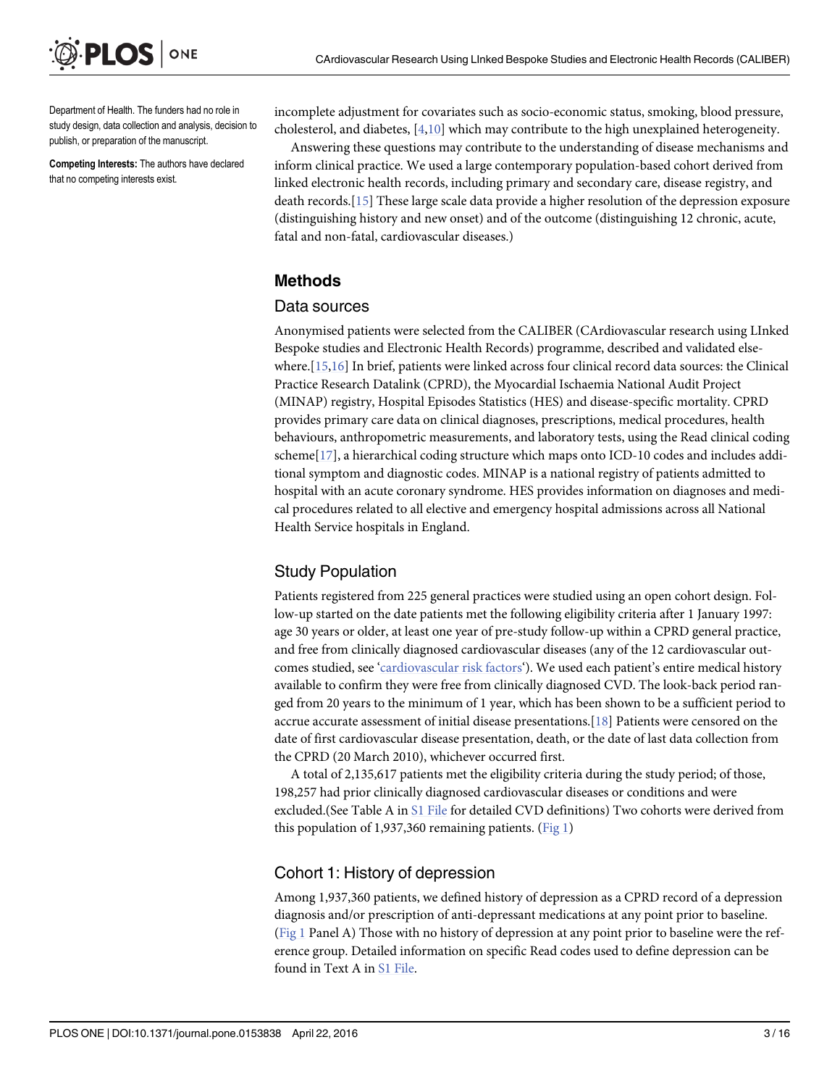<span id="page-2-0"></span>

Department of Health. The funders had no role in study design, data collection and analysis, decision to publish, or preparation of the manuscript.

Competing Interests: The authors have declared that no competing interests exist.

incomplete adjustment for covariates such as socio-economic status, smoking, blood pressure, cholesterol, and diabetes, [[4,10](#page-13-0)] which may contribute to the high unexplained heterogeneity.

Answering these questions may contribute to the understanding of disease mechanisms and inform clinical practice. We used a large contemporary population-based cohort derived from linked electronic health records, including primary and secondary care, disease registry, and death records.[\[15\]](#page-14-0) These large scale data provide a higher resolution of the depression exposure (distinguishing history and new onset) and of the outcome (distinguishing 12 chronic, acute, fatal and non-fatal, cardiovascular diseases.)

#### Methods

#### Data sources

Anonymised patients were selected from the CALIBER (CArdiovascular research using LInked Bespoke studies and Electronic Health Records) programme, described and validated elsewhere.[[15](#page-14-0),[16](#page-14-0)] In brief, patients were linked across four clinical record data sources: the Clinical Practice Research Datalink (CPRD), the Myocardial Ischaemia National Audit Project (MINAP) registry, Hospital Episodes Statistics (HES) and disease-specific mortality. CPRD provides primary care data on clinical diagnoses, prescriptions, medical procedures, health behaviours, anthropometric measurements, and laboratory tests, using the Read clinical coding scheme[[17\]](#page-14-0), a hierarchical coding structure which maps onto ICD-10 codes and includes additional symptom and diagnostic codes. MINAP is a national registry of patients admitted to hospital with an acute coronary syndrome. HES provides information on diagnoses and medical procedures related to all elective and emergency hospital admissions across all National Health Service hospitals in England.

## Study Population

Patients registered from 225 general practices were studied using an open cohort design. Follow-up started on the date patients met the following eligibility criteria after 1 January 1997: age 30 years or older, at least one year of pre-study follow-up within a CPRD general practice, and free from clinically diagnosed cardiovascular diseases (any of the 12 cardiovascular outcomes studied, see '[cardiovascular risk factors](#page-4-0)'). We used each patient's entire medical history available to confirm they were free from clinically diagnosed CVD. The look-back period ranged from 20 years to the minimum of 1 year, which has been shown to be a sufficient period to accrue accurate assessment of initial disease presentations.[[18\]](#page-14-0) Patients were censored on the date of first cardiovascular disease presentation, death, or the date of last data collection from the CPRD (20 March 2010), whichever occurred first.

A total of 2,135,617 patients met the eligibility criteria during the study period; of those, 198,257 had prior clinically diagnosed cardiovascular diseases or conditions and were excluded.(See Table A in [S1 File](#page-12-0) for detailed CVD definitions) Two cohorts were derived from this population of 1,937,360 remaining patients.  $(Fig 1)$ 

#### Cohort 1: History of depression

Among 1,937,360 patients, we defined history of depression as a CPRD record of a depression diagnosis and/or prescription of anti-depressant medications at any point prior to baseline. [\(Fig 1](#page-3-0) Panel A) Those with no history of depression at any point prior to baseline were the reference group. Detailed information on specific Read codes used to define depression can be found in Text A in [S1 File.](#page-12-0)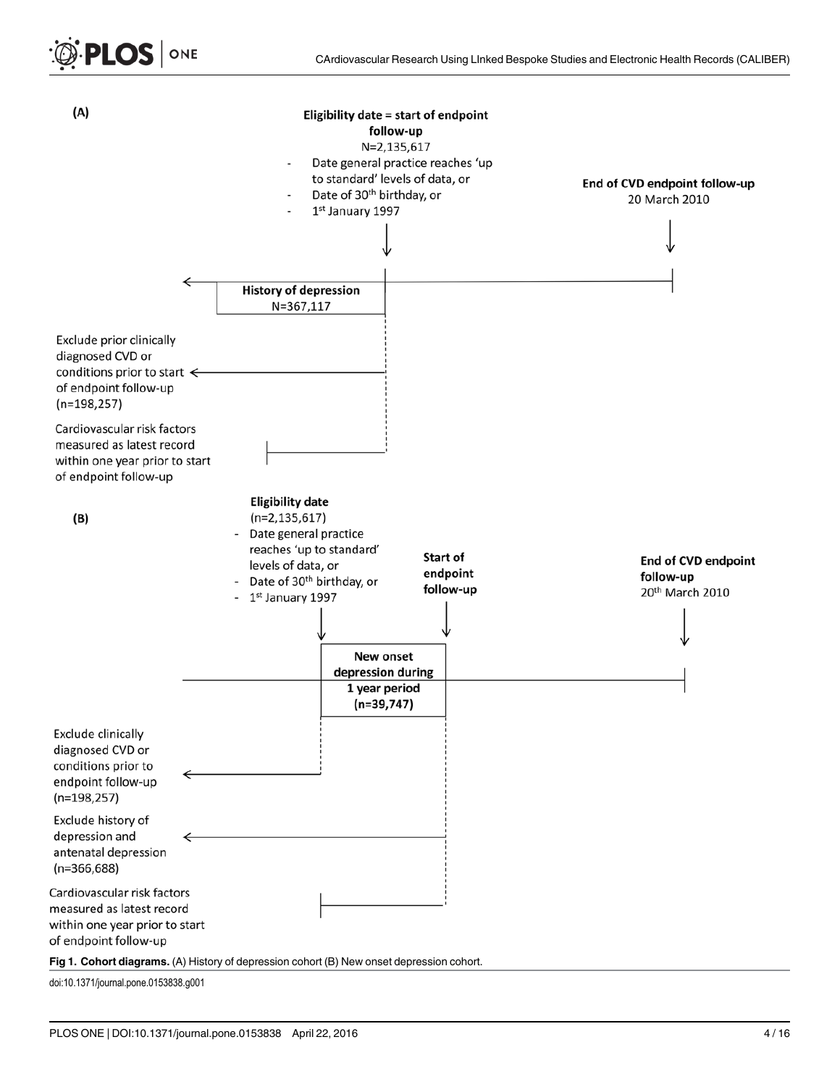<span id="page-3-0"></span>



doi:10.1371/journal.pone.0153838.g001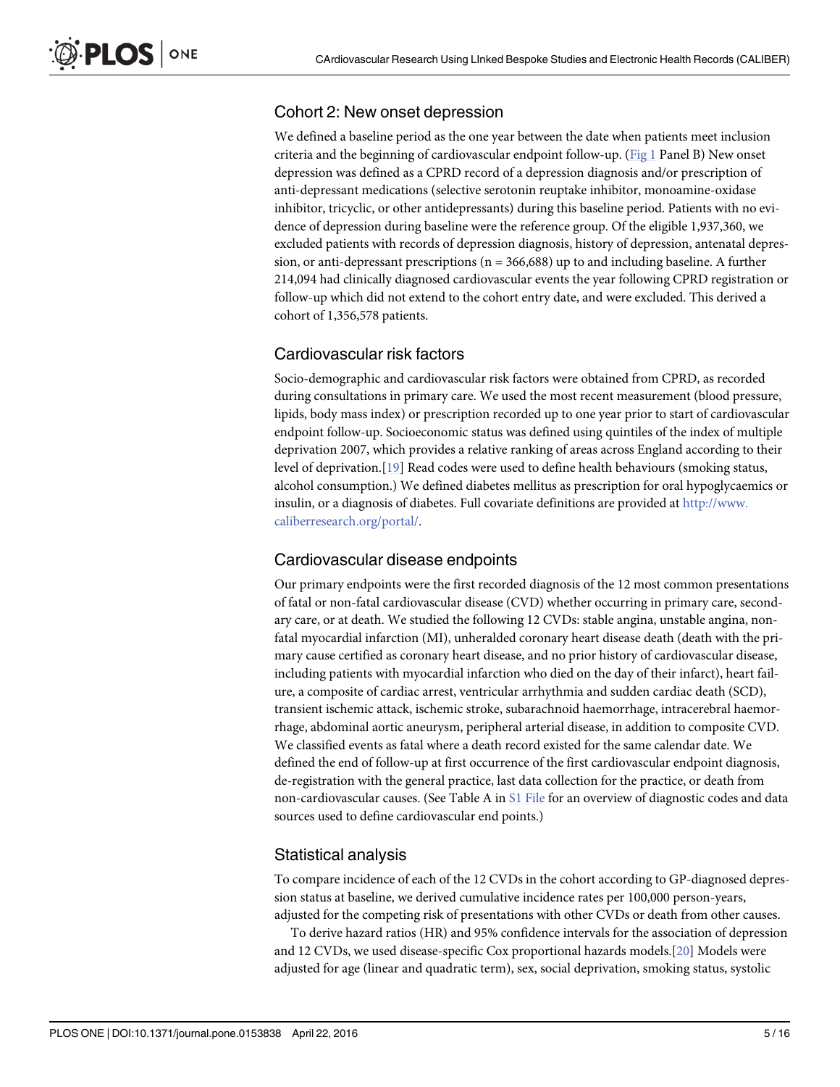## <span id="page-4-0"></span>Cohort 2: New onset depression

We defined a baseline period as the one year between the date when patients meet inclusion criteria and the beginning of cardiovascular endpoint follow-up. [\(Fig 1](#page-3-0) Panel B) New onset depression was defined as a CPRD record of a depression diagnosis and/or prescription of anti-depressant medications (selective serotonin reuptake inhibitor, monoamine-oxidase inhibitor, tricyclic, or other antidepressants) during this baseline period. Patients with no evidence of depression during baseline were the reference group. Of the eligible 1,937,360, we excluded patients with records of depression diagnosis, history of depression, antenatal depression, or anti-depressant prescriptions  $(n = 366,688)$  up to and including baseline. A further 214,094 had clinically diagnosed cardiovascular events the year following CPRD registration or follow-up which did not extend to the cohort entry date, and were excluded. This derived a cohort of 1,356,578 patients.

## Cardiovascular risk factors

Socio-demographic and cardiovascular risk factors were obtained from CPRD, as recorded during consultations in primary care. We used the most recent measurement (blood pressure, lipids, body mass index) or prescription recorded up to one year prior to start of cardiovascular endpoint follow-up. Socioeconomic status was defined using quintiles of the index of multiple deprivation 2007, which provides a relative ranking of areas across England according to their level of deprivation.[[19](#page-14-0)] Read codes were used to define health behaviours (smoking status, alcohol consumption.) We defined diabetes mellitus as prescription for oral hypoglycaemics or insulin, or a diagnosis of diabetes. Full covariate definitions are provided at [http://www.](http://www.caliberresearch.org/portal/) [caliberresearch.org/portal/](http://www.caliberresearch.org/portal/).

## Cardiovascular disease endpoints

Our primary endpoints were the first recorded diagnosis of the 12 most common presentations of fatal or non-fatal cardiovascular disease (CVD) whether occurring in primary care, secondary care, or at death. We studied the following 12 CVDs: stable angina, unstable angina, nonfatal myocardial infarction (MI), unheralded coronary heart disease death (death with the primary cause certified as coronary heart disease, and no prior history of cardiovascular disease, including patients with myocardial infarction who died on the day of their infarct), heart failure, a composite of cardiac arrest, ventricular arrhythmia and sudden cardiac death (SCD), transient ischemic attack, ischemic stroke, subarachnoid haemorrhage, intracerebral haemorrhage, abdominal aortic aneurysm, peripheral arterial disease, in addition to composite CVD. We classified events as fatal where a death record existed for the same calendar date. We defined the end of follow-up at first occurrence of the first cardiovascular endpoint diagnosis, de-registration with the general practice, last data collection for the practice, or death from non-cardiovascular causes. (See Table A in [S1 File](#page-12-0) for an overview of diagnostic codes and data sources used to define cardiovascular end points.)

## Statistical analysis

To compare incidence of each of the 12 CVDs in the cohort according to GP-diagnosed depression status at baseline, we derived cumulative incidence rates per 100,000 person-years, adjusted for the competing risk of presentations with other CVDs or death from other causes.

To derive hazard ratios (HR) and 95% confidence intervals for the association of depression and 12 CVDs, we used disease-specific Cox proportional hazards models.[\[20\]](#page-14-0) Models were adjusted for age (linear and quadratic term), sex, social deprivation, smoking status, systolic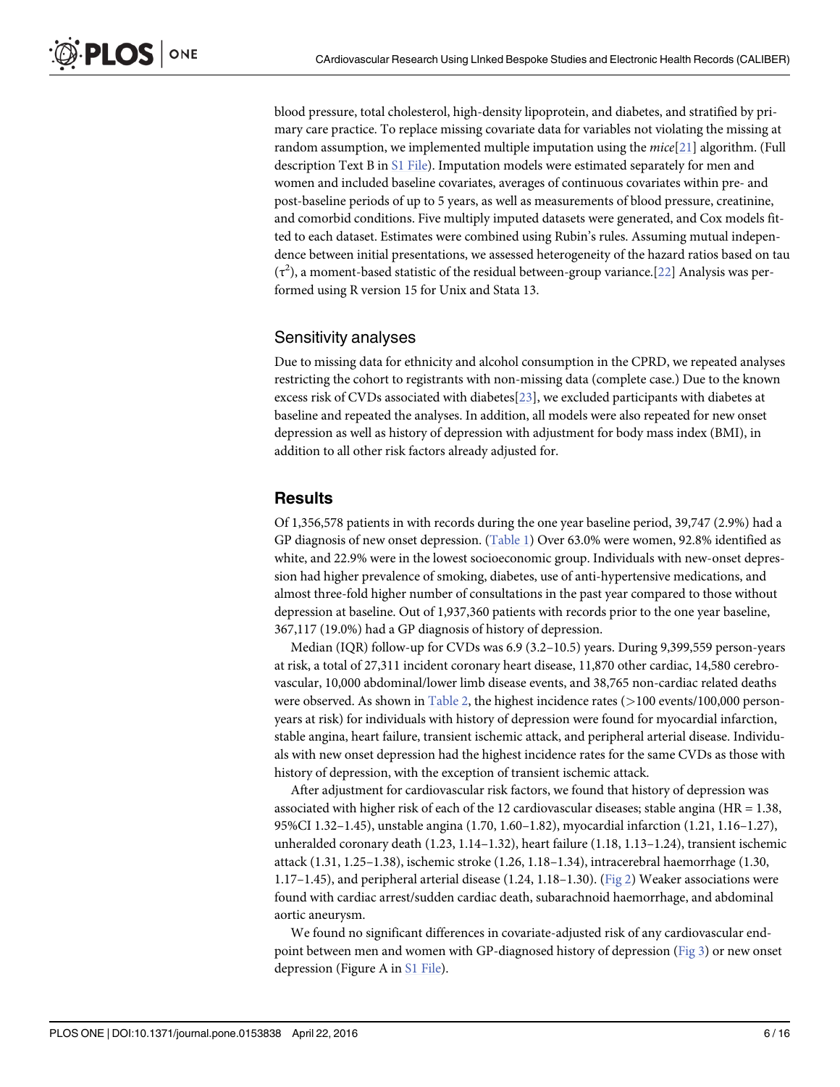<span id="page-5-0"></span>blood pressure, total cholesterol, high-density lipoprotein, and diabetes, and stratified by primary care practice. To replace missing covariate data for variables not violating the missing at random assumption, we implemented multiple imputation using the  $mice[21]$  $mice[21]$  algorithm. (Full description Text B in [S1 File\)](#page-12-0). Imputation models were estimated separately for men and women and included baseline covariates, averages of continuous covariates within pre- and post-baseline periods of up to 5 years, as well as measurements of blood pressure, creatinine, and comorbid conditions. Five multiply imputed datasets were generated, and Cox models fitted to each dataset. Estimates were combined using Rubin's rules. Assuming mutual independence between initial presentations, we assessed heterogeneity of the hazard ratios based on tau  $(\tau^2)$ , a moment-based statistic of the residual between-group variance.[[22](#page-14-0)] Analysis was performed using R version 15 for Unix and Stata 13.

#### Sensitivity analyses

Due to missing data for ethnicity and alcohol consumption in the CPRD, we repeated analyses restricting the cohort to registrants with non-missing data (complete case.) Due to the known excess risk of CVDs associated with diabetes[[23](#page-14-0)], we excluded participants with diabetes at baseline and repeated the analyses. In addition, all models were also repeated for new onset depression as well as history of depression with adjustment for body mass index (BMI), in addition to all other risk factors already adjusted for.

#### **Results**

Of 1,356,578 patients in with records during the one year baseline period, 39,747 (2.9%) had a GP diagnosis of new onset depression. ([Table 1](#page-6-0)) Over 63.0% were women, 92.8% identified as white, and 22.9% were in the lowest socioeconomic group. Individuals with new-onset depression had higher prevalence of smoking, diabetes, use of anti-hypertensive medications, and almost three-fold higher number of consultations in the past year compared to those without depression at baseline. Out of 1,937,360 patients with records prior to the one year baseline, 367,117 (19.0%) had a GP diagnosis of history of depression.

Median (IQR) follow-up for CVDs was 6.9 (3.2–10.5) years. During 9,399,559 person-years at risk, a total of 27,311 incident coronary heart disease, 11,870 other cardiac, 14,580 cerebrovascular, 10,000 abdominal/lower limb disease events, and 38,765 non-cardiac related deaths were observed. As shown in  $Table 2$ , the highest incidence rates ( $>100$  events/100,000 personyears at risk) for individuals with history of depression were found for myocardial infarction, stable angina, heart failure, transient ischemic attack, and peripheral arterial disease. Individuals with new onset depression had the highest incidence rates for the same CVDs as those with history of depression, with the exception of transient ischemic attack.

After adjustment for cardiovascular risk factors, we found that history of depression was associated with higher risk of each of the 12 cardiovascular diseases; stable angina (HR = 1.38, 95%CI 1.32–1.45), unstable angina (1.70, 1.60–1.82), myocardial infarction (1.21, 1.16–1.27), unheralded coronary death (1.23, 1.14–1.32), heart failure (1.18, 1.13–1.24), transient ischemic attack (1.31, 1.25–1.38), ischemic stroke (1.26, 1.18–1.34), intracerebral haemorrhage (1.30, 1.17–1.45), and peripheral arterial disease (1.24, 1.18–1.30). ([Fig 2](#page-8-0)) Weaker associations were found with cardiac arrest/sudden cardiac death, subarachnoid haemorrhage, and abdominal aortic aneurysm.

We found no significant differences in covariate-adjusted risk of any cardiovascular endpoint between men and women with GP-diagnosed history of depression [\(Fig 3\)](#page-9-0) or new onset depression (Figure A in [S1 File\)](#page-12-0).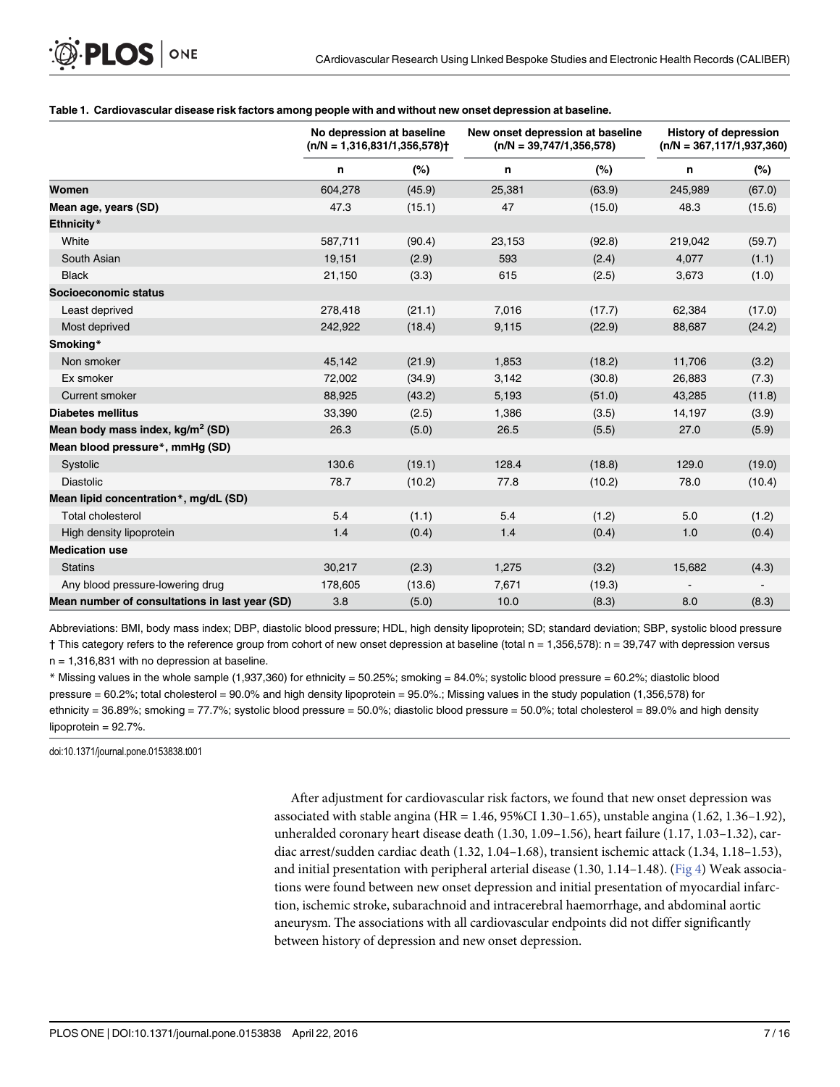#### <span id="page-6-0"></span>[Table 1.](#page-5-0) Cardiovascular disease risk factors among people with and without new onset depression at baseline.

|                                                | No depression at baseline<br>$(n/N = 1,316,831/1,356,578)$ |        | New onset depression at baseline<br>$(n/N = 39,747/1,356,578)$ |        | <b>History of depression</b><br>$(n/N = 367, 117/1, 937, 360)$ |        |
|------------------------------------------------|------------------------------------------------------------|--------|----------------------------------------------------------------|--------|----------------------------------------------------------------|--------|
|                                                | n                                                          | (%)    | n                                                              | (%)    | n                                                              | (%)    |
| Women                                          | 604,278                                                    | (45.9) | 25,381                                                         | (63.9) | 245.989                                                        | (67.0) |
| Mean age, years (SD)                           | 47.3                                                       | (15.1) | 47                                                             | (15.0) | 48.3                                                           | (15.6) |
| Ethnicity*                                     |                                                            |        |                                                                |        |                                                                |        |
| White                                          | 587,711                                                    | (90.4) | 23,153                                                         | (92.8) | 219,042                                                        | (59.7) |
| South Asian                                    | 19,151                                                     | (2.9)  | 593                                                            | (2.4)  | 4,077                                                          | (1.1)  |
| <b>Black</b>                                   | 21,150                                                     | (3.3)  | 615                                                            | (2.5)  | 3,673                                                          | (1.0)  |
| Socioeconomic status                           |                                                            |        |                                                                |        |                                                                |        |
| Least deprived                                 | 278,418                                                    | (21.1) | 7,016                                                          | (17.7) | 62,384                                                         | (17.0) |
| Most deprived                                  | 242,922                                                    | (18.4) | 9,115                                                          | (22.9) | 88,687                                                         | (24.2) |
| Smoking*                                       |                                                            |        |                                                                |        |                                                                |        |
| Non smoker                                     | 45,142                                                     | (21.9) | 1,853                                                          | (18.2) | 11,706                                                         | (3.2)  |
| Ex smoker                                      | 72,002                                                     | (34.9) | 3,142                                                          | (30.8) | 26,883                                                         | (7.3)  |
| <b>Current smoker</b>                          | 88,925                                                     | (43.2) | 5,193                                                          | (51.0) | 43,285                                                         | (11.8) |
| <b>Diabetes mellitus</b>                       | 33,390                                                     | (2.5)  | 1,386                                                          | (3.5)  | 14,197                                                         | (3.9)  |
| Mean body mass index, kg/m <sup>2</sup> (SD)   | 26.3                                                       | (5.0)  | 26.5                                                           | (5.5)  | 27.0                                                           | (5.9)  |
| Mean blood pressure*, mmHq (SD)                |                                                            |        |                                                                |        |                                                                |        |
| Systolic                                       | 130.6                                                      | (19.1) | 128.4                                                          | (18.8) | 129.0                                                          | (19.0) |
| <b>Diastolic</b>                               | 78.7                                                       | (10.2) | 77.8                                                           | (10.2) | 78.0                                                           | (10.4) |
| Mean lipid concentration*, mg/dL (SD)          |                                                            |        |                                                                |        |                                                                |        |
| <b>Total cholesterol</b>                       | 5.4                                                        | (1.1)  | 5.4                                                            | (1.2)  | 5.0                                                            | (1.2)  |
| High density lipoprotein                       | 1.4                                                        | (0.4)  | 1.4                                                            | (0.4)  | 1.0                                                            | (0.4)  |
| <b>Medication use</b>                          |                                                            |        |                                                                |        |                                                                |        |
| <b>Statins</b>                                 | 30,217                                                     | (2.3)  | 1,275                                                          | (3.2)  | 15,682                                                         | (4.3)  |
| Any blood pressure-lowering drug               | 178,605                                                    | (13.6) | 7,671                                                          | (19.3) |                                                                |        |
| Mean number of consultations in last year (SD) | 3.8                                                        | (5.0)  | 10.0                                                           | (8.3)  | 8.0                                                            | (8.3)  |

Abbreviations: BMI, body mass index; DBP, diastolic blood pressure; HDL, high density lipoprotein; SD; standard deviation; SBP, systolic blood pressure † This category refers to the reference group from cohort of new onset depression at baseline (total n = 1,356,578): n = 39,747 with depression versus  $n = 1,316,831$  with no depression at baseline.

 $*$  Missing values in the whole sample (1,937,360) for ethnicity = 50.25%; smoking = 84.0%; systolic blood pressure = 60.2%; diastolic blood pressure = 60.2%; total cholesterol = 90.0% and high density lipoprotein = 95.0%.; Missing values in the study population (1,356,578) for ethnicity = 36.89%; smoking = 77.7%; systolic blood pressure = 50.0%; diastolic blood pressure = 50.0%; total cholesterol = 89.0% and high density lipoprotein = 92.7%.

doi:10.1371/journal.pone.0153838.t001

After adjustment for cardiovascular risk factors, we found that new onset depression was associated with stable angina (HR = 1.46, 95%CI 1.30–1.65), unstable angina (1.62, 1.36–1.92), unheralded coronary heart disease death (1.30, 1.09–1.56), heart failure (1.17, 1.03–1.32), cardiac arrest/sudden cardiac death (1.32, 1.04–1.68), transient ischemic attack (1.34, 1.18–1.53), and initial presentation with peripheral arterial disease (1.30, 1.14–1.48). [\(Fig 4](#page-10-0)) Weak associations were found between new onset depression and initial presentation of myocardial infarction, ischemic stroke, subarachnoid and intracerebral haemorrhage, and abdominal aortic aneurysm. The associations with all cardiovascular endpoints did not differ significantly between history of depression and new onset depression.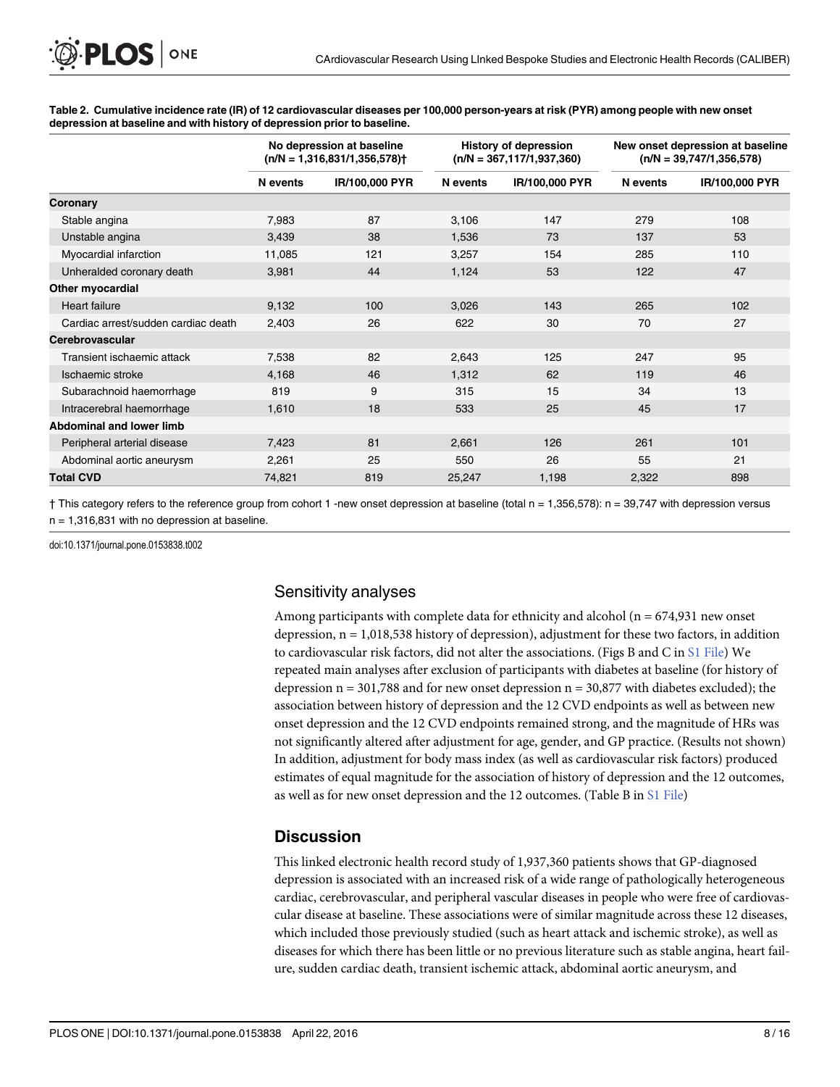|                                     | No depression at baseline<br>$(n/N = 1,316,831/1,356,578)$ |                | <b>History of depression</b><br>$(n/N = 367, 117/1, 937, 360)$ |                | New onset depression at baseline<br>$(n/N = 39,747/1,356,578)$ |                |
|-------------------------------------|------------------------------------------------------------|----------------|----------------------------------------------------------------|----------------|----------------------------------------------------------------|----------------|
|                                     | N events                                                   | IR/100,000 PYR | N events                                                       | IR/100,000 PYR | N events                                                       | IR/100,000 PYR |
| Coronary                            |                                                            |                |                                                                |                |                                                                |                |
| Stable angina                       | 7,983                                                      | 87             | 3,106                                                          | 147            | 279                                                            | 108            |
| Unstable angina                     | 3,439                                                      | 38             | 1,536                                                          | 73             | 137                                                            | 53             |
| Myocardial infarction               | 11,085                                                     | 121            | 3,257                                                          | 154            | 285                                                            | 110            |
| Unheralded coronary death           | 3,981                                                      | 44             | 1,124                                                          | 53             | 122                                                            | 47             |
| Other myocardial                    |                                                            |                |                                                                |                |                                                                |                |
| <b>Heart failure</b>                | 9,132                                                      | 100            | 3,026                                                          | 143            | 265                                                            | 102            |
| Cardiac arrest/sudden cardiac death | 2,403                                                      | 26             | 622                                                            | 30             | 70                                                             | 27             |
| Cerebrovascular                     |                                                            |                |                                                                |                |                                                                |                |
| Transient ischaemic attack          | 7,538                                                      | 82             | 2,643                                                          | 125            | 247                                                            | 95             |
| Ischaemic stroke                    | 4,168                                                      | 46             | 1,312                                                          | 62             | 119                                                            | 46             |
| Subarachnoid haemorrhage            | 819                                                        | 9              | 315                                                            | 15             | 34                                                             | 13             |
| Intracerebral haemorrhage           | 1,610                                                      | 18             | 533                                                            | 25             | 45                                                             | 17             |
| <b>Abdominal and lower limb</b>     |                                                            |                |                                                                |                |                                                                |                |
| Peripheral arterial disease         | 7,423                                                      | 81             | 2,661                                                          | 126            | 261                                                            | 101            |
| Abdominal aortic aneurysm           | 2,261                                                      | 25             | 550                                                            | 26             | 55                                                             | 21             |
| <b>Total CVD</b>                    | 74,821                                                     | 819            | 25,247                                                         | 1,198          | 2,322                                                          | 898            |

<span id="page-7-0"></span>[Table 2.](#page-5-0) Cumulative incidence rate (IR) of 12 cardiovascular diseases per 100,000 person-years at risk (PYR) among people with new onset depression at baseline and with history of depression prior to baseline.

† This category refers to the reference group from cohort 1 -new onset depression at baseline (total n = 1,356,578): n = 39,747 with depression versus  $n = 1,316,831$  with no depression at baseline.

doi:10.1371/journal.pone.0153838.t002

## Sensitivity analyses

Among participants with complete data for ethnicity and alcohol ( $n = 674,931$  new onset depression, n = 1,018,538 history of depression), adjustment for these two factors, in addition to cardiovascular risk factors, did not alter the associations. (Figs B and C in [S1 File\)](#page-12-0) We repeated main analyses after exclusion of participants with diabetes at baseline (for history of depression  $n = 301,788$  and for new onset depression  $n = 30,877$  with diabetes excluded); the association between history of depression and the 12 CVD endpoints as well as between new onset depression and the 12 CVD endpoints remained strong, and the magnitude of HRs was not significantly altered after adjustment for age, gender, and GP practice. (Results not shown) In addition, adjustment for body mass index (as well as cardiovascular risk factors) produced estimates of equal magnitude for the association of history of depression and the 12 outcomes, as well as for new onset depression and the 12 outcomes. (Table B in [S1 File](#page-12-0))

## **Discussion**

This linked electronic health record study of 1,937,360 patients shows that GP-diagnosed depression is associated with an increased risk of a wide range of pathologically heterogeneous cardiac, cerebrovascular, and peripheral vascular diseases in people who were free of cardiovascular disease at baseline. These associations were of similar magnitude across these 12 diseases, which included those previously studied (such as heart attack and ischemic stroke), as well as diseases for which there has been little or no previous literature such as stable angina, heart failure, sudden cardiac death, transient ischemic attack, abdominal aortic aneurysm, and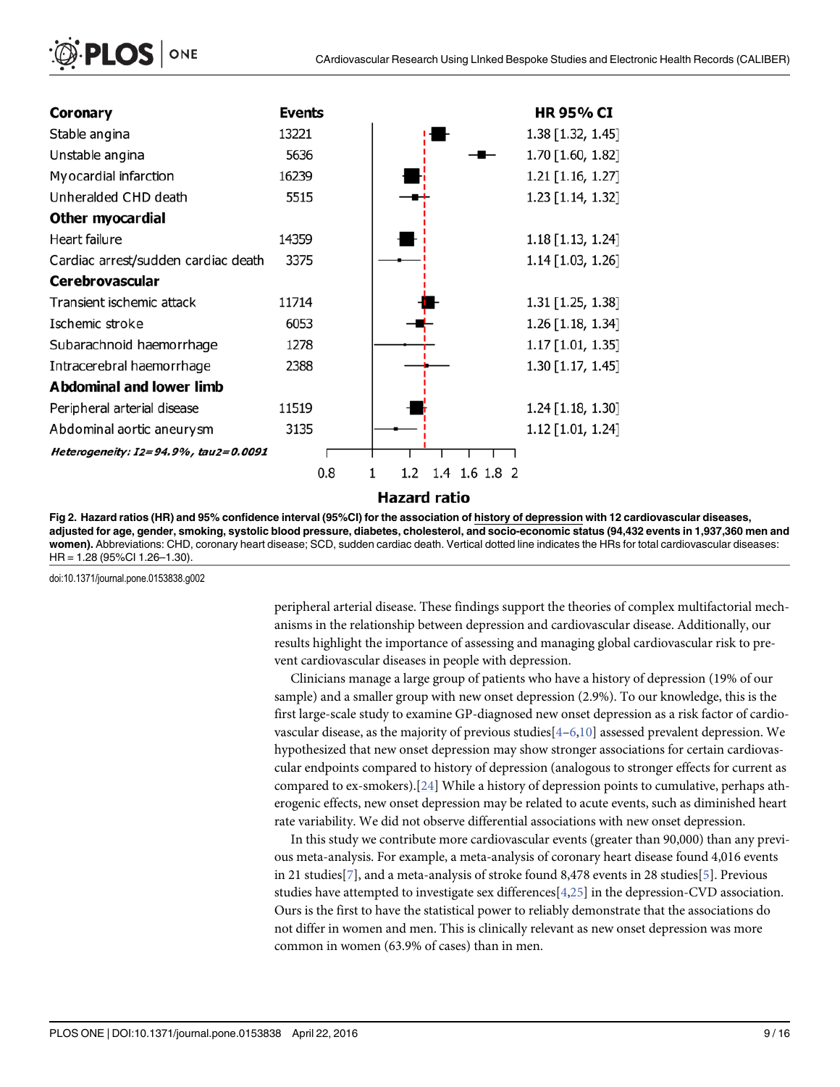<span id="page-8-0"></span>

| Coronary                             | <b>Events</b> |                           | HR 95% CI           |
|--------------------------------------|---------------|---------------------------|---------------------|
| Stable angina                        | 13221         |                           | 1.38 [1.32, 1.45]   |
| Unstable angina                      | 5636          |                           | 1.70 [1.60, 1.82]   |
| Myocardial infarction                | 16239         |                           | 1.21 [1.16, 1.27]   |
| Unheralded CHD death                 | 5515          |                           | 1.23 [1.14, 1.32]   |
| Other myocardial                     |               |                           |                     |
| Heart failure                        | 14359         |                           | 1.18 [1.13, 1.24]   |
| Cardiac arrest/sudden cardiac death  | 3375          |                           | $1.14$ [1.03, 1.26] |
| <b>Cerebrovascular</b>               |               |                           |                     |
| Transient ischemic attack            | 11714         |                           | 1.31 [1.25, 1.38]   |
| Ischemic stroke                      | 6053          |                           | 1.26 [1.18, 1.34]   |
| Subarachnoid haemorrhage             | 1278          |                           | $1.17$ [1.01, 1.35] |
| Intracerebral haemorrhage            | 2388          |                           | 1.30 [1.17, 1.45]   |
| <b>Abdominal and lower limb</b>      |               |                           |                     |
| Peripheral arterial disease          | 11519         |                           | $1.24$ [1.18, 1.30] |
| Abdominal aortic aneurysm            | 3135          |                           | 1.12 [1.01, 1.24]   |
| Heterogeneity: I2=94.9%, tau2=0.0091 |               |                           |                     |
|                                      | 0.8           | 1.4 1.6 1.8 2<br>1<br>1.2 |                     |
|                                      |               | <b>Hazard ratio</b>       |                     |

[Fig 2. H](#page-5-0)azard ratios (HR) and 95% confidence interval (95%CI) for the association of history of depression with 12 cardiovascular diseases, adjusted for age, gender, smoking, systolic blood pressure, diabetes, cholesterol, and socio-economic status (94,432 events in 1,937,360 men and women). Abbreviations: CHD, coronary heart disease; SCD, sudden cardiac death. Vertical dotted line indicates the HRs for total cardiovascular diseases: HR = 1.28 (95%CI 1.26–1.30).

doi:10.1371/journal.pone.0153838.g002

peripheral arterial disease. These findings support the theories of complex multifactorial mechanisms in the relationship between depression and cardiovascular disease. Additionally, our results highlight the importance of assessing and managing global cardiovascular risk to prevent cardiovascular diseases in people with depression.

Clinicians manage a large group of patients who have a history of depression (19% of our sample) and a smaller group with new onset depression (2.9%). To our knowledge, this is the first large-scale study to examine GP-diagnosed new onset depression as a risk factor of cardiovascular disease, as the majority of previous studies $[4-6,10]$  $[4-6,10]$  $[4-6,10]$  assessed prevalent depression. We hypothesized that new onset depression may show stronger associations for certain cardiovascular endpoints compared to history of depression (analogous to stronger effects for current as compared to ex-smokers).[[24\]](#page-14-0) While a history of depression points to cumulative, perhaps atherogenic effects, new onset depression may be related to acute events, such as diminished heart rate variability. We did not observe differential associations with new onset depression.

In this study we contribute more cardiovascular events (greater than 90,000) than any previous meta-analysis. For example, a meta-analysis of coronary heart disease found 4,016 events in 21 studies[[7\]](#page-13-0), and a meta-analysis of stroke found 8,478 events in 28 studies[[5](#page-13-0)]. Previous studies have attempted to investigate sex differences $[4,25]$  $[4,25]$  $[4,25]$  $[4,25]$  in the depression-CVD association. Ours is the first to have the statistical power to reliably demonstrate that the associations do not differ in women and men. This is clinically relevant as new onset depression was more common in women (63.9% of cases) than in men.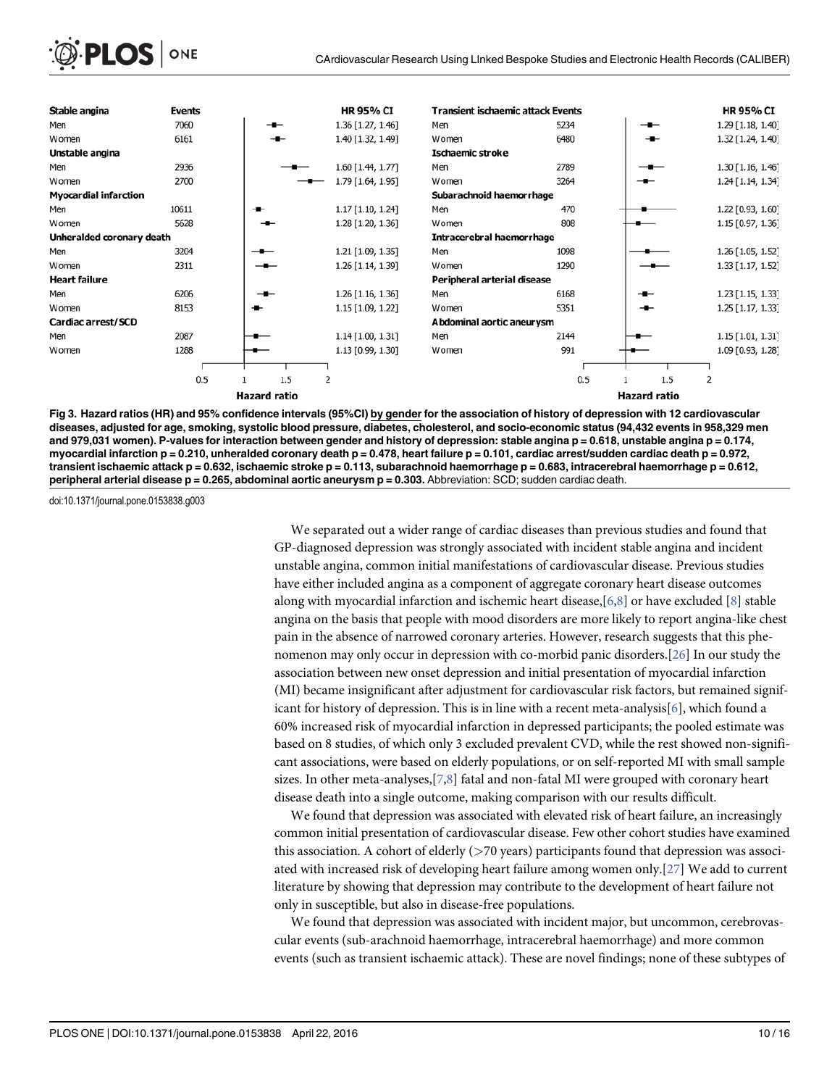<span id="page-9-0"></span>

| Stable angina                | <b>Events</b> |                     | <b>HR 95% CI</b>  | <b>Transient ischaemic attack Events</b> |      |                     | <b>HR 95% CI</b>  |
|------------------------------|---------------|---------------------|-------------------|------------------------------------------|------|---------------------|-------------------|
| Men                          | 7060          |                     | 1.36 [1.27, 1.46] | Men                                      | 5234 | $-$                 | 1.29 [1.18, 1.40] |
| Women                        | 6161          |                     | 1.40 [1.32, 1.49] | Women                                    | 6480 | $-$                 | 1.32 [1.24, 1.40] |
| Unstable angina              |               |                     |                   | Ischaemic stroke                         |      |                     |                   |
| Men                          | 2936          |                     | 1.60 [1.44, 1.77] | Men                                      | 2789 |                     | 1.30 [1.16, 1.46] |
| Women                        | 2700          |                     | 1.79 [1.64, 1.95] | Women                                    | 3264 |                     | 1.24 [1.14, 1.34] |
| <b>Myocardial infarction</b> |               |                     |                   | Subarachnoid haemorrhage                 |      |                     |                   |
| Men                          | 10611         | ╼                   | 1.17 [1.10, 1.24] | Men                                      | 470  |                     | 1.22 [0.93, 1.60] |
| Women                        | 5628          |                     | 1.28 [1.20, 1.36] | Women                                    | 808  |                     | 1.15 [0.97, 1.36] |
| Unheralded coronary death    |               |                     |                   | <b>Intracerebral haemorrhage</b>         |      |                     |                   |
| Men                          | 3204          |                     | 1.21 [1.09, 1.35] | Men                                      | 1098 |                     | 1.26 [1.05, 1.52] |
| Women                        | 2311          |                     | 1.26 [1.14, 1.39] | Women                                    | 1290 |                     | 1.33 [1.17, 1.52] |
| <b>Heart failure</b>         |               |                     |                   | Peripheral arterial disease              |      |                     |                   |
| Men                          | 6206          |                     | 1.26 [1.16, 1.36] | Men                                      | 6168 | -∎–                 | 1.23 [1.15, 1.33] |
| Women                        | 8153          | -⊷                  | 1.15 [1.09, 1.22] | Women                                    | 5351 | -⊷                  | 1.25 [1.17, 1.33] |
| Cardiac arrest/SCD           |               |                     |                   | Abdominal aortic aneurysm                |      |                     |                   |
| Men                          | 2087          |                     | 1.14 [1.00, 1.31] | Men                                      | 2144 |                     | 1.15 [1.01, 1.31] |
| Women                        | 1288          |                     | 1.13 [0.99, 1.30] | Women                                    | 991  |                     | 1.09 [0.93, 1.28] |
|                              |               |                     |                   |                                          |      |                     |                   |
|                              | 0.5           | 1.5                 | 2                 |                                          | 0.5  | 1.5                 | 2                 |
|                              |               | <b>Hazard ratio</b> |                   |                                          |      | <b>Hazard ratio</b> |                   |

[Fig 3. H](#page-5-0)azard ratios (HR) and 95% confidence intervals (95%CI) by gender for the association of history of depression with 12 cardiovascular diseases, adjusted for age, smoking, systolic blood pressure, diabetes, cholesterol, and socio-economic status (94,432 events in 958,329 men and 979,031 women). P-values for interaction between gender and history of depression: stable angina p = 0.618, unstable angina p = 0.174, myocardial infarction  $p = 0.210$ , unheralded coronary death  $p = 0.478$ , heart failure  $p = 0.101$ , cardiac arrest/sudden cardiac death  $p = 0.972$ , transient ischaemic attack p = 0.632, ischaemic stroke p = 0.113, subarachnoid haemorrhage p = 0.683, intracerebral haemorrhage p = 0.612, peripheral arterial disease  $p = 0.265$ , abdominal aortic aneurysm  $p = 0.303$ . Abbreviation: SCD; sudden cardiac death.

doi:10.1371/journal.pone.0153838.g003

We separated out a wider range of cardiac diseases than previous studies and found that GP-diagnosed depression was strongly associated with incident stable angina and incident unstable angina, common initial manifestations of cardiovascular disease. Previous studies have either included angina as a component of aggregate coronary heart disease outcomes along with myocardial infarction and ischemic heart disease,[[6](#page-13-0),[8\]](#page-13-0) or have excluded [[8](#page-13-0)] stable angina on the basis that people with mood disorders are more likely to report angina-like chest pain in the absence of narrowed coronary arteries. However, research suggests that this phenomenon may only occur in depression with co-morbid panic disorders.[\[26\]](#page-14-0) In our study the association between new onset depression and initial presentation of myocardial infarction (MI) became insignificant after adjustment for cardiovascular risk factors, but remained signif-icant for history of depression. This is in line with a recent meta-analysis[[6](#page-13-0)], which found a 60% increased risk of myocardial infarction in depressed participants; the pooled estimate was based on 8 studies, of which only 3 excluded prevalent CVD, while the rest showed non-significant associations, were based on elderly populations, or on self-reported MI with small sample sizes. In other meta-analyses, $[7,8]$  $[7,8]$  $[7,8]$  $[7,8]$  $[7,8]$  fatal and non-fatal MI were grouped with coronary heart disease death into a single outcome, making comparison with our results difficult.

We found that depression was associated with elevated risk of heart failure, an increasingly common initial presentation of cardiovascular disease. Few other cohort studies have examined this association. A cohort of elderly  $($ >70 years) participants found that depression was associated with increased risk of developing heart failure among women only.[\[27\]](#page-14-0) We add to current literature by showing that depression may contribute to the development of heart failure not only in susceptible, but also in disease-free populations.

We found that depression was associated with incident major, but uncommon, cerebrovascular events (sub-arachnoid haemorrhage, intracerebral haemorrhage) and more common events (such as transient ischaemic attack). These are novel findings; none of these subtypes of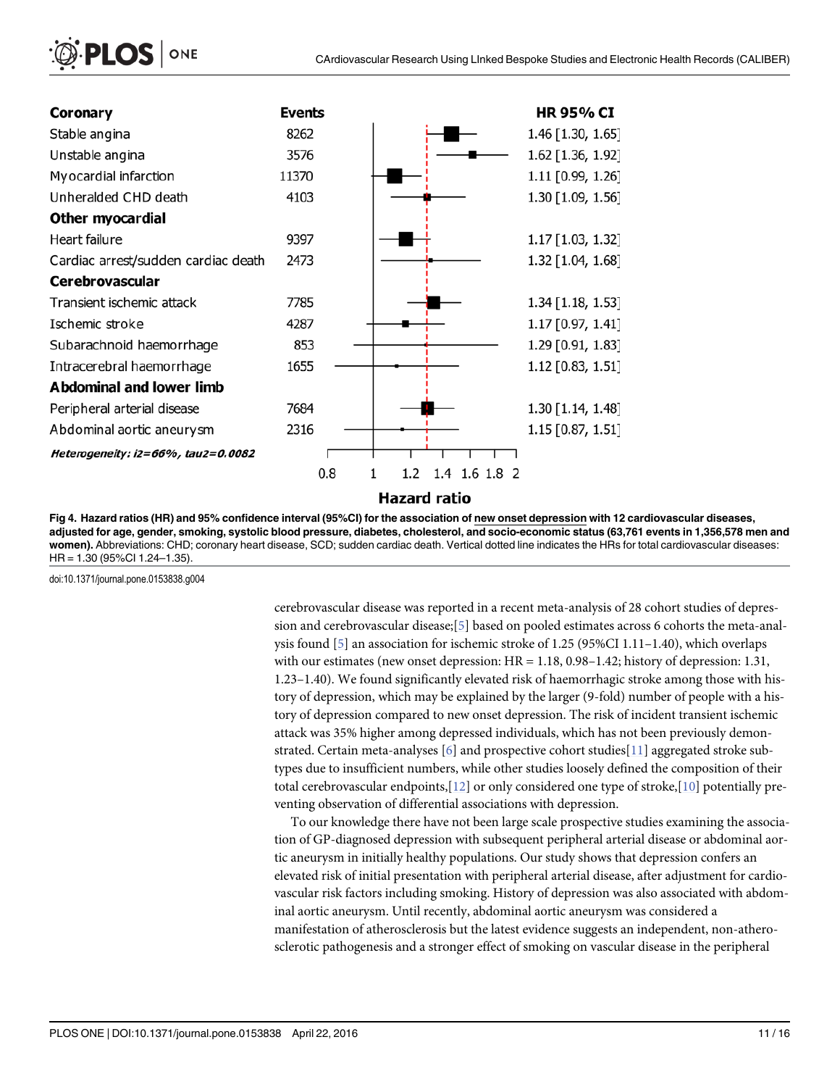<span id="page-10-0"></span>

| <sup>2</sup> PLOS   ONE |  |
|-------------------------|--|
|-------------------------|--|

| Coronary                            | <b>Events</b> |              |               | <b>HR 95% CI</b>    |
|-------------------------------------|---------------|--------------|---------------|---------------------|
| Stable angina                       | 8262          |              |               | 1.46 [1.30, 1.65]   |
| Unstable angina                     | 3576          |              |               | 1.62 [1.36, 1.92]   |
| My ocardial infarction              | 11370         |              |               | 1.11 [0.99, 1.26]   |
| Unheralded CHD death                | 4103          |              |               | 1.30 [1.09, 1.56]   |
| Other myocardial                    |               |              |               |                     |
| Heart failure                       | 9397          |              |               | 1.17 [1.03, 1.32]   |
| Cardiac arrest/sudden cardiac death | 2473          |              |               | 1.32 [1.04, 1.68]   |
| <b>Cerebrovascular</b>              |               |              |               |                     |
| Transient ischemic attack           | 7785          |              |               | 1.34 [1.18, 1.53]   |
| Ischemic stroke                     | 4287          |              |               | 1.17 [0.97, 1.41]   |
| Subarachnoid haemorrhage            | 853           |              |               | 1.29 [0.91, 1.83]   |
| Intracerebral haemorrhage           | 1655          |              |               | $1.12$ [0.83, 1.51] |
| <b>Abdominal and lower limb</b>     |               |              |               |                     |
| Peripheral arterial disease         | 7684          |              |               | 1.30 [1.14, 1.48]   |
| Abdominal aortic aneurysm           | 2316          |              |               | $1.15$ [0.87, 1.51] |
| Heterogeneity: i2=66%, tau2=0.0082  |               |              |               |                     |
|                                     | 0.8           | 1.2          | 1.4 1.6 1.8 2 |                     |
|                                     |               | Hazard ratio |               |                     |

[Fig 4. H](#page-6-0)azard ratios (HR) and 95% confidence interval (95%CI) for the association of new onset depression with 12 cardiovascular diseases, adjusted for age, gender, smoking, systolic blood pressure, diabetes, cholesterol, and socio-economic status (63,761 events in 1,356,578 men and women). Abbreviations: CHD; coronary heart disease, SCD; sudden cardiac death. Vertical dotted line indicates the HRs for total cardiovascular diseases: HR = 1.30 (95%CI 1.24–1.35).

doi:10.1371/journal.pone.0153838.g004

cerebrovascular disease was reported in a recent meta-analysis of 28 cohort studies of depression and cerebrovascular disease;[\[5\]](#page-13-0) based on pooled estimates across 6 cohorts the meta-analysis found [\[5\]](#page-13-0) an association for ischemic stroke of 1.25 (95%CI 1.11–1.40), which overlaps with our estimates (new onset depression:  $HR = 1.18$ , 0.98–1.42; history of depression: 1.31, 1.23–1.40). We found significantly elevated risk of haemorrhagic stroke among those with history of depression, which may be explained by the larger (9-fold) number of people with a history of depression compared to new onset depression. The risk of incident transient ischemic attack was 35% higher among depressed individuals, which has not been previously demonstrated. Certain meta-analyses [\[6\]](#page-13-0) and prospective cohort studies[[11](#page-13-0)] aggregated stroke subtypes due to insufficient numbers, while other studies loosely defined the composition of their total cerebrovascular endpoints,  $[12]$  $[12]$  or only considered one type of stroke,  $[10]$  $[10]$  potentially preventing observation of differential associations with depression.

To our knowledge there have not been large scale prospective studies examining the association of GP-diagnosed depression with subsequent peripheral arterial disease or abdominal aortic aneurysm in initially healthy populations. Our study shows that depression confers an elevated risk of initial presentation with peripheral arterial disease, after adjustment for cardiovascular risk factors including smoking. History of depression was also associated with abdominal aortic aneurysm. Until recently, abdominal aortic aneurysm was considered a manifestation of atherosclerosis but the latest evidence suggests an independent, non-atherosclerotic pathogenesis and a stronger effect of smoking on vascular disease in the peripheral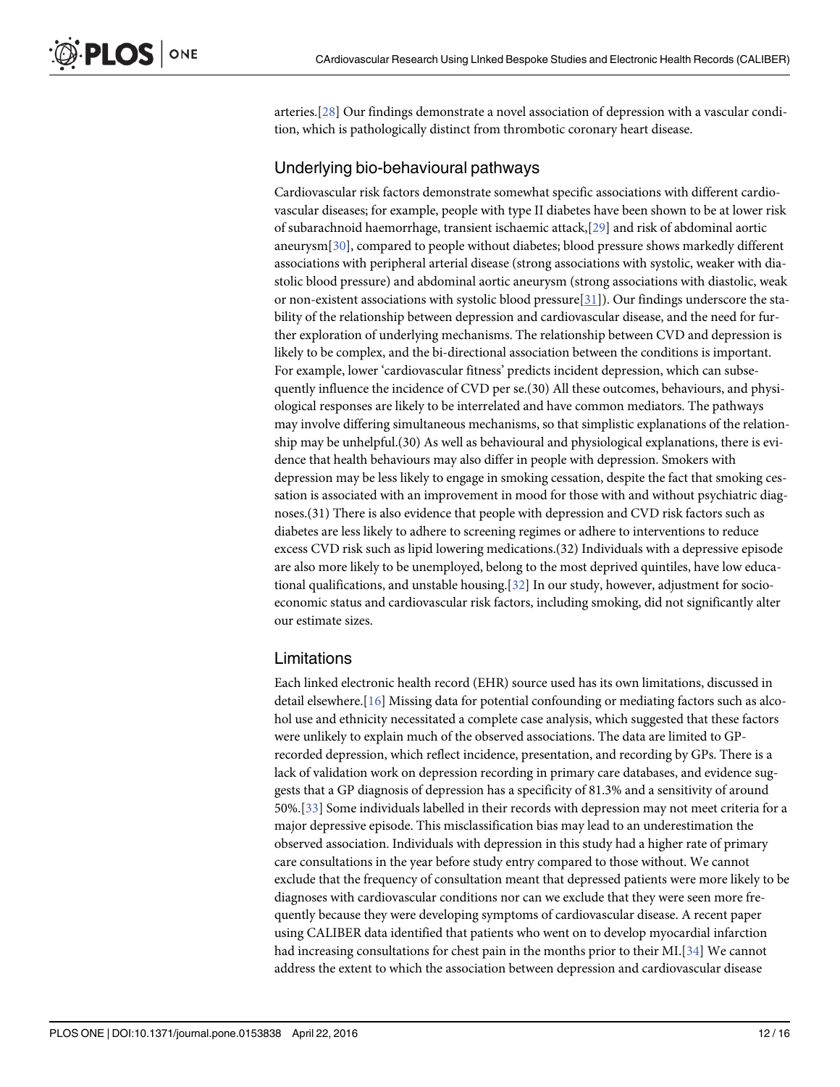<span id="page-11-0"></span>arteries.[[28\]](#page-14-0) Our findings demonstrate a novel association of depression with a vascular condition, which is pathologically distinct from thrombotic coronary heart disease.

#### Underlying bio-behavioural pathways

Cardiovascular risk factors demonstrate somewhat specific associations with different cardiovascular diseases; for example, people with type II diabetes have been shown to be at lower risk of subarachnoid haemorrhage, transient ischaemic attack,[[29\]](#page-14-0) and risk of abdominal aortic aneurysm[[30](#page-14-0)], compared to people without diabetes; blood pressure shows markedly different associations with peripheral arterial disease (strong associations with systolic, weaker with diastolic blood pressure) and abdominal aortic aneurysm (strong associations with diastolic, weak or non-existent associations with systolic blood pressure  $[31]$ ). Our findings underscore the stability of the relationship between depression and cardiovascular disease, and the need for further exploration of underlying mechanisms. The relationship between CVD and depression is likely to be complex, and the bi-directional association between the conditions is important. For example, lower 'cardiovascular fitness' predicts incident depression, which can subsequently influence the incidence of CVD per se.(30) All these outcomes, behaviours, and physiological responses are likely to be interrelated and have common mediators. The pathways may involve differing simultaneous mechanisms, so that simplistic explanations of the relationship may be unhelpful.(30) As well as behavioural and physiological explanations, there is evidence that health behaviours may also differ in people with depression. Smokers with depression may be less likely to engage in smoking cessation, despite the fact that smoking cessation is associated with an improvement in mood for those with and without psychiatric diagnoses.(31) There is also evidence that people with depression and CVD risk factors such as diabetes are less likely to adhere to screening regimes or adhere to interventions to reduce excess CVD risk such as lipid lowering medications.(32) Individuals with a depressive episode are also more likely to be unemployed, belong to the most deprived quintiles, have low educational qualifications, and unstable housing.[\[32\]](#page-14-0) In our study, however, adjustment for socioeconomic status and cardiovascular risk factors, including smoking, did not significantly alter our estimate sizes.

#### Limitations

Each linked electronic health record (EHR) source used has its own limitations, discussed in detail elsewhere.[\[16\]](#page-14-0) Missing data for potential confounding or mediating factors such as alcohol use and ethnicity necessitated a complete case analysis, which suggested that these factors were unlikely to explain much of the observed associations. The data are limited to GPrecorded depression, which reflect incidence, presentation, and recording by GPs. There is a lack of validation work on depression recording in primary care databases, and evidence suggests that a GP diagnosis of depression has a specificity of 81.3% and a sensitivity of around 50%.[[33](#page-14-0)] Some individuals labelled in their records with depression may not meet criteria for a major depressive episode. This misclassification bias may lead to an underestimation the observed association. Individuals with depression in this study had a higher rate of primary care consultations in the year before study entry compared to those without. We cannot exclude that the frequency of consultation meant that depressed patients were more likely to be diagnoses with cardiovascular conditions nor can we exclude that they were seen more frequently because they were developing symptoms of cardiovascular disease. A recent paper using CALIBER data identified that patients who went on to develop myocardial infarction had increasing consultations for chest pain in the months prior to their MI.[\[34](#page-14-0)] We cannot address the extent to which the association between depression and cardiovascular disease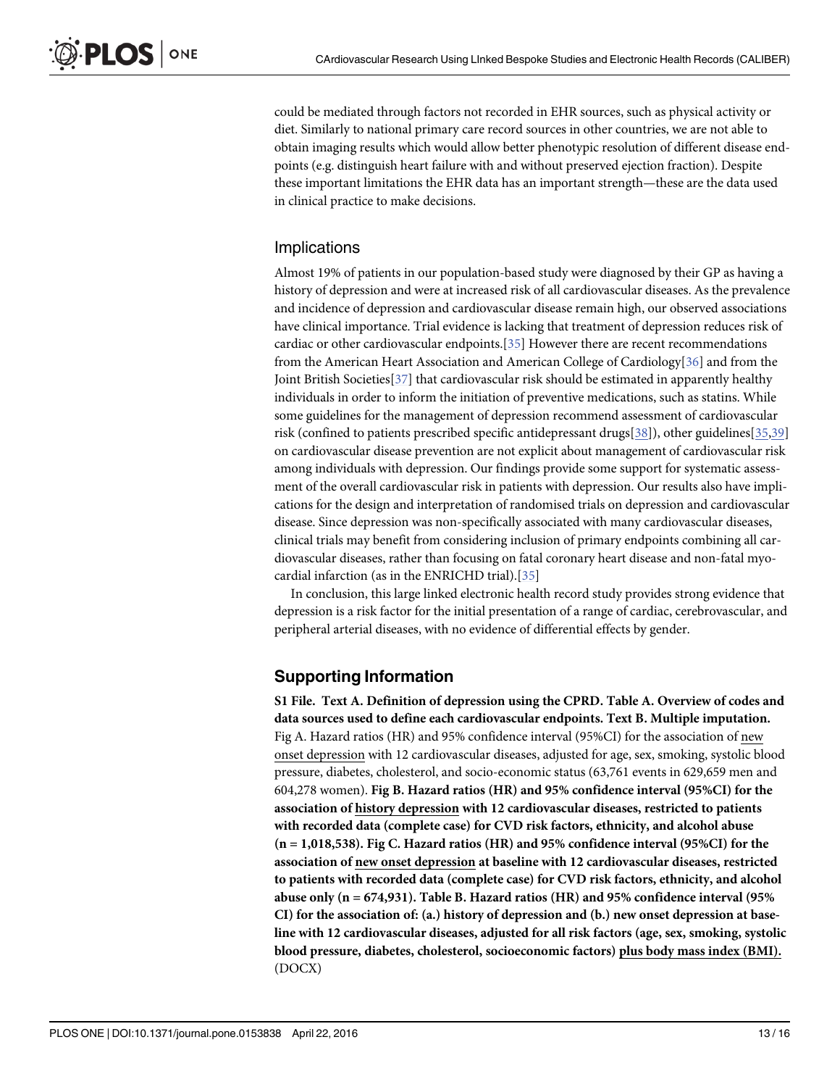<span id="page-12-0"></span>could be mediated through factors not recorded in EHR sources, such as physical activity or diet. Similarly to national primary care record sources in other countries, we are not able to obtain imaging results which would allow better phenotypic resolution of different disease endpoints (e.g. distinguish heart failure with and without preserved ejection fraction). Despite these important limitations the EHR data has an important strength—these are the data used in clinical practice to make decisions.

#### Implications

Almost 19% of patients in our population-based study were diagnosed by their GP as having a history of depression and were at increased risk of all cardiovascular diseases. As the prevalence and incidence of depression and cardiovascular disease remain high, our observed associations have clinical importance. Trial evidence is lacking that treatment of depression reduces risk of cardiac or other cardiovascular endpoints. $[35]$  However there are recent recommendations from the American Heart Association and American College of Cardiology[[36\]](#page-15-0) and from the Joint British Societies[[37\]](#page-15-0) that cardiovascular risk should be estimated in apparently healthy individuals in order to inform the initiation of preventive medications, such as statins. While some guidelines for the management of depression recommend assessment of cardiovascular risk (confined to patients prescribed specific antidepressant drugs[[38](#page-15-0)]), other guidelines[[35](#page-14-0)[,39](#page-15-0)] on cardiovascular disease prevention are not explicit about management of cardiovascular risk among individuals with depression. Our findings provide some support for systematic assessment of the overall cardiovascular risk in patients with depression. Our results also have implications for the design and interpretation of randomised trials on depression and cardiovascular disease. Since depression was non-specifically associated with many cardiovascular diseases, clinical trials may benefit from considering inclusion of primary endpoints combining all cardiovascular diseases, rather than focusing on fatal coronary heart disease and non-fatal myocardial infarction (as in the ENRICHD trial).[[35](#page-14-0)]

In conclusion, this large linked electronic health record study provides strong evidence that depression is a risk factor for the initial presentation of a range of cardiac, cerebrovascular, and peripheral arterial diseases, with no evidence of differential effects by gender.

#### Supporting Information

[S1 File.](http://www.plosone.org/article/fetchSingleRepresentation.action?uri=info:doi/10.1371/journal.pone.0153838.s001) Text A. Definition of depression using the CPRD. Table A. Overview of codes and data sources used to define each cardiovascular endpoints. Text B. Multiple imputation. Fig A. Hazard ratios (HR) and 95% confidence interval (95%CI) for the association of new onset depression with 12 cardiovascular diseases, adjusted for age, sex, smoking, systolic blood pressure, diabetes, cholesterol, and socio-economic status (63,761 events in 629,659 men and 604,278 women). Fig B. Hazard ratios (HR) and 95% confidence interval (95%CI) for the association of history depression with 12 cardiovascular diseases, restricted to patients with recorded data (complete case) for CVD risk factors, ethnicity, and alcohol abuse (n = 1,018,538). Fig C. Hazard ratios (HR) and 95% confidence interval (95%CI) for the association of new onset depression at baseline with 12 cardiovascular diseases, restricted to patients with recorded data (complete case) for CVD risk factors, ethnicity, and alcohol abuse only  $(n = 674, 931)$ . Table B. Hazard ratios  $(HR)$  and 95% confidence interval (95%) CI) for the association of: (a.) history of depression and (b.) new onset depression at baseline with 12 cardiovascular diseases, adjusted for all risk factors (age, sex, smoking, systolic blood pressure, diabetes, cholesterol, socioeconomic factors) plus body mass index (BMI). (DOCX)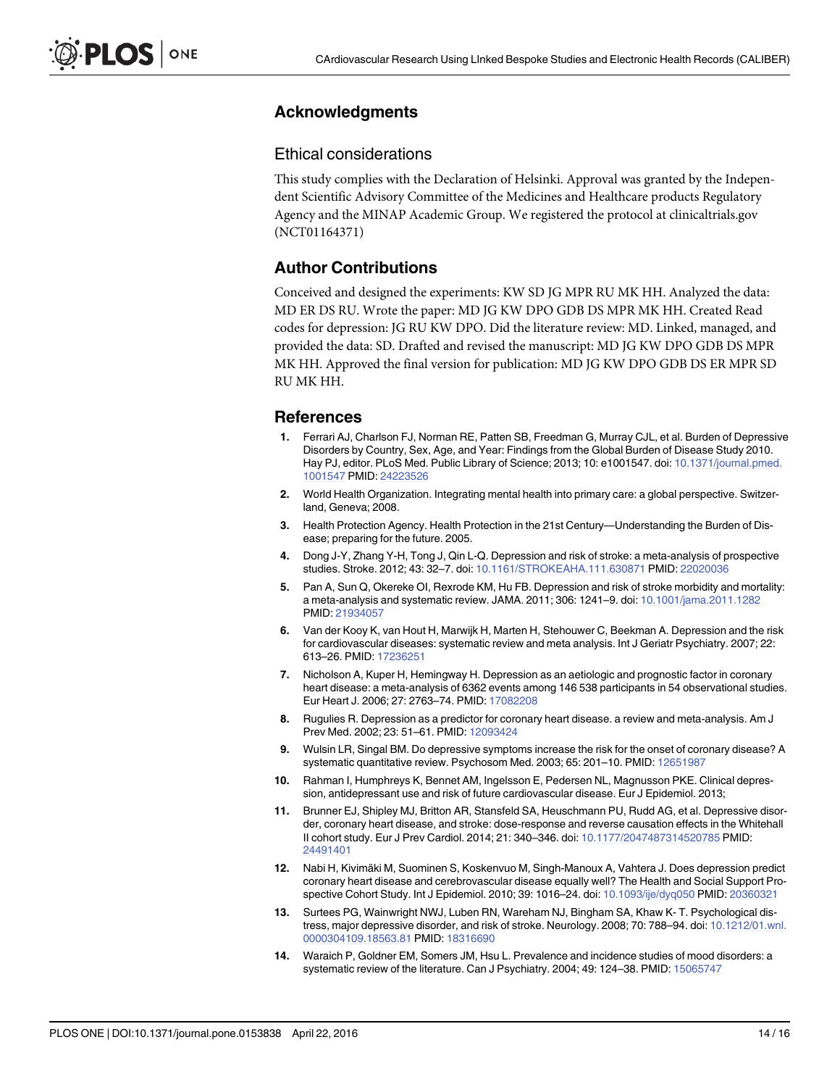## <span id="page-13-0"></span>Acknowledgments

#### Ethical considerations

This study complies with the Declaration of Helsinki. Approval was granted by the Independent Scientific Advisory Committee of the Medicines and Healthcare products Regulatory Agency and the MINAP Academic Group. We registered the protocol at clinicaltrials.gov (NCT01164371)

## Author Contributions

Conceived and designed the experiments: KW SD JG MPR RU MK HH. Analyzed the data: MD ER DS RU. Wrote the paper: MD JG KW DPO GDB DS MPR MK HH. Created Read codes for depression: JG RU KW DPO. Did the literature review: MD. Linked, managed, and provided the data: SD. Drafted and revised the manuscript: MD JG KW DPO GDB DS MPR MK HH. Approved the final version for publication: MD JG KW DPO GDB DS ER MPR SD RU MK HH.

#### References

- [1.](#page-1-0) Ferrari AJ, Charlson FJ, Norman RE, Patten SB, Freedman G, Murray CJL, et al. Burden of Depressive Disorders by Country, Sex, Age, and Year: Findings from the Global Burden of Disease Study 2010. Hay PJ, editor. PLoS Med. Public Library of Science; 2013; 10: e1001547. doi: [10.1371/journal.pmed.](http://dx.doi.org/10.1371/journal.pmed.1001547) [1001547](http://dx.doi.org/10.1371/journal.pmed.1001547) PMID: [24223526](http://www.ncbi.nlm.nih.gov/pubmed/24223526)
- [2.](#page-1-0) World Health Organization. Integrating mental health into primary care: a global perspective. Switzerland, Geneva; 2008.
- [3.](#page-1-0) Health Protection Agency. Health Protection in the 21st Century—Understanding the Burden of Disease; preparing for the future. 2005.
- [4.](#page-1-0) Dong J-Y, Zhang Y-H, Tong J, Qin L-Q. Depression and risk of stroke: a meta-analysis of prospective studies. Stroke. 2012; 43: 32–7. doi: [10.1161/STROKEAHA.111.630871](http://dx.doi.org/10.1161/STROKEAHA.111.630871) PMID: [22020036](http://www.ncbi.nlm.nih.gov/pubmed/22020036)
- [5.](#page-8-0) Pan A, Sun Q, Okereke OI, Rexrode KM, Hu FB. Depression and risk of stroke morbidity and mortality: a meta-analysis and systematic review. JAMA. 2011; 306: 1241–9. doi: [10.1001/jama.2011.1282](http://dx.doi.org/10.1001/jama.2011.1282) PMID: [21934057](http://www.ncbi.nlm.nih.gov/pubmed/21934057)
- [6.](#page-1-0) Van der Kooy K, van Hout H, Marwijk H, Marten H, Stehouwer C, Beekman A. Depression and the risk for cardiovascular diseases: systematic review and meta analysis. Int J Geriatr Psychiatry. 2007; 22: 613–26. PMID: [17236251](http://www.ncbi.nlm.nih.gov/pubmed/17236251)
- [7.](#page-8-0) Nicholson A, Kuper H, Hemingway H. Depression as an aetiologic and prognostic factor in coronary heart disease: a meta-analysis of 6362 events among 146 538 participants in 54 observational studies. Eur Heart J. 2006; 27: 2763–74. PMID: [17082208](http://www.ncbi.nlm.nih.gov/pubmed/17082208)
- [8.](#page-1-0) Rugulies R. Depression as a predictor for coronary heart disease. a review and meta-analysis. Am J Prev Med. 2002; 23: 51–61. PMID: [12093424](http://www.ncbi.nlm.nih.gov/pubmed/12093424)
- [9.](#page-1-0) Wulsin LR, Singal BM. Do depressive symptoms increase the risk for the onset of coronary disease? A systematic quantitative review. Psychosom Med. 2003; 65: 201–10. PMID: [12651987](http://www.ncbi.nlm.nih.gov/pubmed/12651987)
- [10.](#page-1-0) Rahman I, Humphreys K, Bennet AM, Ingelsson E, Pedersen NL, Magnusson PKE. Clinical depression, antidepressant use and risk of future cardiovascular disease. Eur J Epidemiol. 2013;
- [11.](#page-1-0) Brunner EJ, Shipley MJ, Britton AR, Stansfeld SA, Heuschmann PU, Rudd AG, et al. Depressive disorder, coronary heart disease, and stroke: dose-response and reverse causation effects in the Whitehall II cohort study. Eur J Prev Cardiol. 2014; 21: 340–346. doi: [10.1177/2047487314520785](http://dx.doi.org/10.1177/2047487314520785) PMID: [24491401](http://www.ncbi.nlm.nih.gov/pubmed/24491401)
- [12.](#page-1-0) Nabi H, Kivimäki M, Suominen S, Koskenvuo M, Singh-Manoux A, Vahtera J. Does depression predict coronary heart disease and cerebrovascular disease equally well? The Health and Social Support Prospective Cohort Study. Int J Epidemiol. 2010; 39: 1016–24. doi: [10.1093/ije/dyq050](http://dx.doi.org/10.1093/ije/dyq050) PMID: [20360321](http://www.ncbi.nlm.nih.gov/pubmed/20360321)
- [13.](#page-1-0) Surtees PG, Wainwright NWJ, Luben RN, Wareham NJ, Bingham SA, Khaw K- T. Psychological distress, major depressive disorder, and risk of stroke. Neurology. 2008; 70: 788–94. doi: [10.1212/01.wnl.](http://dx.doi.org/10.1212/01.wnl.0000304109.18563.81) [0000304109.18563.81](http://dx.doi.org/10.1212/01.wnl.0000304109.18563.81) PMID: [18316690](http://www.ncbi.nlm.nih.gov/pubmed/18316690)
- [14.](#page-1-0) Waraich P, Goldner EM, Somers JM, Hsu L. Prevalence and incidence studies of mood disorders: a systematic review of the literature. Can J Psychiatry. 2004; 49: 124–38. PMID: [15065747](http://www.ncbi.nlm.nih.gov/pubmed/15065747)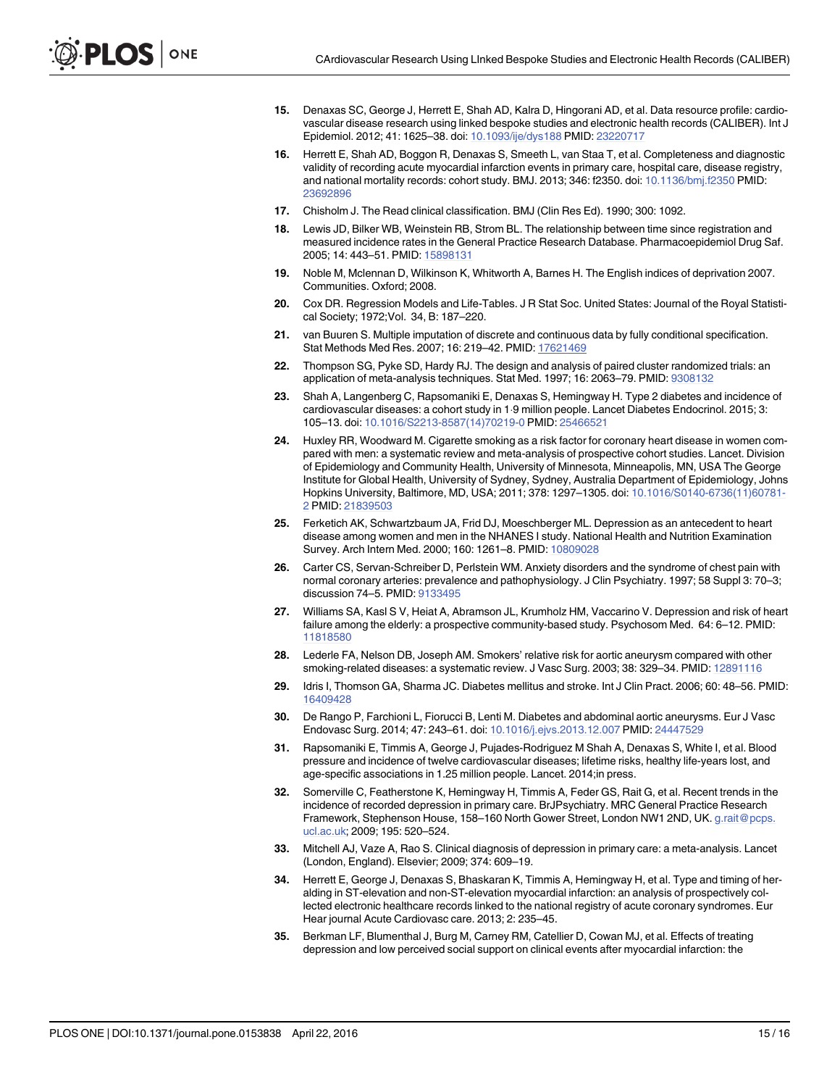- <span id="page-14-0"></span>[15.](#page-2-0) Denaxas SC, George J, Herrett E, Shah AD, Kalra D, Hingorani AD, et al. Data resource profile: cardiovascular disease research using linked bespoke studies and electronic health records (CALIBER). Int J Epidemiol. 2012; 41: 1625–38. doi: [10.1093/ije/dys188](http://dx.doi.org/10.1093/ije/dys188) PMID: [23220717](http://www.ncbi.nlm.nih.gov/pubmed/23220717)
- [16.](#page-2-0) Herrett E, Shah AD, Boggon R, Denaxas S, Smeeth L, van Staa T, et al. Completeness and diagnostic validity of recording acute myocardial infarction events in primary care, hospital care, disease registry, and national mortality records: cohort study. BMJ. 2013; 346: f2350. doi: [10.1136/bmj.f2350](http://dx.doi.org/10.1136/bmj.f2350) PMID: [23692896](http://www.ncbi.nlm.nih.gov/pubmed/23692896)
- [17.](#page-2-0) Chisholm J. The Read clinical classification. BMJ (Clin Res Ed). 1990; 300: 1092.
- [18.](#page-2-0) Lewis JD, Bilker WB, Weinstein RB, Strom BL. The relationship between time since registration and measured incidence rates in the General Practice Research Database. Pharmacoepidemiol Drug Saf. 2005; 14: 443-51. PMID: [15898131](http://www.ncbi.nlm.nih.gov/pubmed/15898131)
- [19.](#page-4-0) Noble M, Mclennan D, Wilkinson K, Whitworth A, Barnes H. The English indices of deprivation 2007. Communities. Oxford; 2008.
- [20.](#page-4-0) Cox DR. Regression Models and Life-Tables. J R Stat Soc. United States: Journal of the Royal Statistical Society; 1972;Vol. 34, B: 187–220.
- [21.](#page-5-0) van Buuren S. Multiple imputation of discrete and continuous data by fully conditional specification. Stat Methods Med Res. 2007; 16: 219–42. PMID: [17621469](http://www.ncbi.nlm.nih.gov/pubmed/17621469)
- [22.](#page-5-0) Thompson SG, Pyke SD, Hardy RJ. The design and analysis of paired cluster randomized trials: an application of meta-analysis techniques. Stat Med. 1997; 16: 2063–79. PMID: [9308132](http://www.ncbi.nlm.nih.gov/pubmed/9308132)
- [23.](#page-5-0) Shah A, Langenberg C, Rapsomaniki E, Denaxas S, Hemingway H. Type 2 diabetes and incidence of cardiovascular diseases: a cohort study in 19 million people. Lancet Diabetes Endocrinol. 2015; 3: 105–13. doi: [10.1016/S2213-8587\(14\)70219-0](http://dx.doi.org/10.1016/S2213-8587(14)70219-0) PMID: [25466521](http://www.ncbi.nlm.nih.gov/pubmed/25466521)
- [24.](#page-8-0) Huxley RR, Woodward M. Cigarette smoking as a risk factor for coronary heart disease in women compared with men: a systematic review and meta-analysis of prospective cohort studies. Lancet. Division of Epidemiology and Community Health, University of Minnesota, Minneapolis, MN, USA The George Institute for Global Health, University of Sydney, Sydney, Australia Department of Epidemiology, Johns Hopkins University, Baltimore, MD, USA; 2011; 378: 1297–1305. doi: [10.1016/S0140-6736\(11\)60781-](http://dx.doi.org/10.1016/S0140-6736(11)60781-2) [2](http://dx.doi.org/10.1016/S0140-6736(11)60781-2) PMID: [21839503](http://www.ncbi.nlm.nih.gov/pubmed/21839503)
- [25.](#page-8-0) Ferketich AK, Schwartzbaum JA, Frid DJ, Moeschberger ML. Depression as an antecedent to heart disease among women and men in the NHANES I study. National Health and Nutrition Examination Survey. Arch Intern Med. 2000; 160: 1261–8. PMID: [10809028](http://www.ncbi.nlm.nih.gov/pubmed/10809028)
- [26.](#page-9-0) Carter CS, Servan-Schreiber D, Perlstein WM. Anxiety disorders and the syndrome of chest pain with normal coronary arteries: prevalence and pathophysiology. J Clin Psychiatry. 1997; 58 Suppl 3: 70–3; discussion 74–5. PMID: [9133495](http://www.ncbi.nlm.nih.gov/pubmed/9133495)
- [27.](#page-9-0) Williams SA, Kasl S V, Heiat A, Abramson JL, Krumholz HM, Vaccarino V. Depression and risk of heart failure among the elderly: a prospective community-based study. Psychosom Med. 64: 6–12. PMID: [11818580](http://www.ncbi.nlm.nih.gov/pubmed/11818580)
- [28.](#page-11-0) Lederle FA, Nelson DB, Joseph AM. Smokers' relative risk for aortic aneurysm compared with other smoking-related diseases: a systematic review. J Vasc Surg. 2003; 38: 329–34. PMID: [12891116](http://www.ncbi.nlm.nih.gov/pubmed/12891116)
- [29.](#page-11-0) Idris I, Thomson GA, Sharma JC. Diabetes mellitus and stroke. Int J Clin Pract. 2006; 60: 48–56. PMID: [16409428](http://www.ncbi.nlm.nih.gov/pubmed/16409428)
- [30.](#page-11-0) De Rango P, Farchioni L, Fiorucci B, Lenti M. Diabetes and abdominal aortic aneurysms. Eur J Vasc Endovasc Surg. 2014; 47: 243–61. doi: [10.1016/j.ejvs.2013.12.007](http://dx.doi.org/10.1016/j.ejvs.2013.12.007) PMID: [24447529](http://www.ncbi.nlm.nih.gov/pubmed/24447529)
- [31.](#page-11-0) Rapsomaniki E, Timmis A, George J, Pujades-Rodriguez M Shah A, Denaxas S, White I, et al. Blood pressure and incidence of twelve cardiovascular diseases; lifetime risks, healthy life-years lost, and age-specific associations in 1.25 million people. Lancet. 2014;in press.
- [32.](#page-11-0) Somerville C, Featherstone K, Hemingway H, Timmis A, Feder GS, Rait G, et al. Recent trends in the incidence of recorded depression in primary care. BrJPsychiatry. MRC General Practice Research Framework, Stephenson House, 158–160 North Gower Street, London NW1 2ND, UK. g.rait@pcps. ucl.ac.uk; 2009; 195: 520–524.
- [33.](#page-11-0) Mitchell AJ, Vaze A, Rao S. Clinical diagnosis of depression in primary care: a meta-analysis. Lancet (London, England). Elsevier; 2009; 374: 609–19.
- [34.](#page-11-0) Herrett E, George J, Denaxas S, Bhaskaran K, Timmis A, Hemingway H, et al. Type and timing of heralding in ST-elevation and non-ST-elevation myocardial infarction: an analysis of prospectively collected electronic healthcare records linked to the national registry of acute coronary syndromes. Eur Hear journal Acute Cardiovasc care. 2013; 2: 235–45.
- [35.](#page-12-0) Berkman LF, Blumenthal J, Burg M, Carney RM, Catellier D, Cowan MJ, et al. Effects of treating depression and low perceived social support on clinical events after myocardial infarction: the